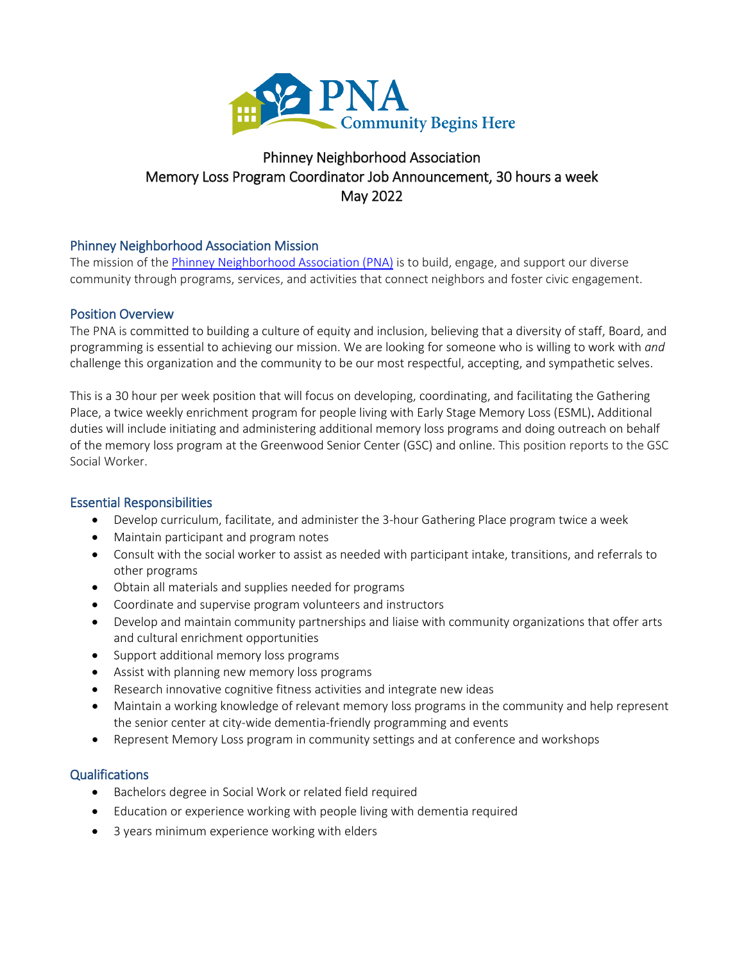

# Phinney Neighborhood Association Memory Loss Program Coordinator Job Announcement, 30 hours a week May 2022

## Phinney Neighborhood Association Mission

The mission of th[e Phinney Neighborhood Association \(PNA\)](http://www.phinneycenter.org/) is to build, engage, and support our diverse community through programs, services, and activities that connect neighbors and foster civic engagement.

## Position Overview

The PNA is committed to building a culture of equity and inclusion, believing that a diversity of staff, Board, and programming is essential to achieving our mission. We are looking for someone who is willing to work with *and* challenge this organization and the community to be our most respectful, accepting, and sympathetic selves.

This is a 30 hour per week position that will focus on developing, coordinating, and facilitating the Gathering Place, a twice weekly enrichment program for people living with Early Stage Memory Loss (ESML). Additional duties will include initiating and administering additional memory loss programs and doing outreach on behalf of the memory loss program at the Greenwood Senior Center (GSC) and online. This position reports to the GSC Social Worker.

### Essential Responsibilities

- Develop curriculum, facilitate, and administer the 3-hour Gathering Place program twice a week
- Maintain participant and program notes
- Consult with the social worker to assist as needed with participant intake, transitions, and referrals to other programs
- Obtain all materials and supplies needed for programs
- Coordinate and supervise program volunteers and instructors
- Develop and maintain community partnerships and liaise with community organizations that offer arts and cultural enrichment opportunities
- Support additional memory loss programs
- Assist with planning new memory loss programs
- Research innovative cognitive fitness activities and integrate new ideas
- Maintain a working knowledge of relevant memory loss programs in the community and help represent the senior center at city-wide dementia-friendly programming and events
- Represent Memory Loss program in community settings and at conference and workshops

## **Qualifications**

- Bachelors degree in Social Work or related field required
- Education or experience working with people living with dementia required
- 3 years minimum experience working with elders